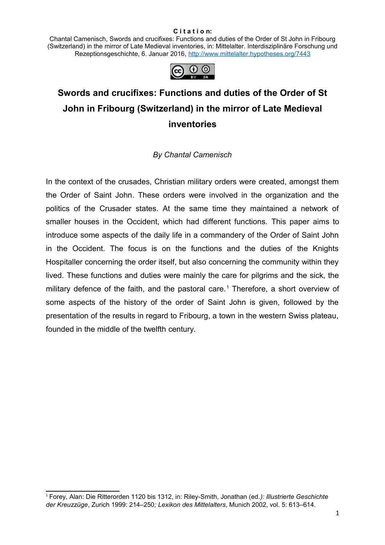Chantal Camenisch, Swords and crucifixes: Functions and duties of the Order of St John in Fribourg (Switzerland) in the mirror of Late Medieval inventories, in: Mittelalter. Interdisziplinäre Forschung und Rezeptionsgeschichte, 6. Januar 2016,<http://www.mittelalter.hypotheses.org/7443>



# **Swords and crucifixes: Functions and duties of the Order of St John in Fribourg (Switzerland) in the mirror of Late Medieval inventories**

# *By Chantal Camenisch*

In the context of the crusades, Christian military orders were created, amongst them the Order of Saint John. These orders were involved in the organization and the politics of the Crusader states. At the same time they maintained a network of smaller houses in the Occident, which had different functions. This paper aims to introduce some aspects of the daily life in a commandery of the Order of Saint John in the Occident. The focus is on the functions and the duties of the Knights Hospitaller concerning the order itself, but also concerning the community within they lived. These functions and duties were mainly the care for pilgrims and the sick, the military defence of the faith, and the pastoral care.<sup>[1](#page-0-0)</sup> Therefore, a short overview of some aspects of the history of the order of Saint John is given, followed by the presentation of the results in regard to Fribourg, a town in the western Swiss plateau, founded in the middle of the twelfth century.

<span id="page-0-0"></span><sup>1</sup> Forey, Alan: Die Ritterorden 1120 bis 1312, in: Riley-Smith, Jonathan (ed*.): Illustrierte Geschichte der Kreuzzüge*, Zurich 1999: 214–250*; Lexikon des Mittelalters*, Munich 2002, vol. 5: 613–614.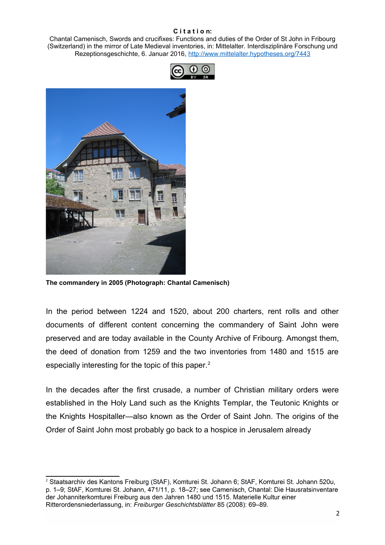Chantal Camenisch, Swords and crucifixes: Functions and duties of the Order of St John in Fribourg (Switzerland) in the mirror of Late Medieval inventories, in: Mittelalter. Interdisziplinäre Forschung und Rezeptionsgeschichte, 6. Januar 2016,<http://www.mittelalter.hypotheses.org/7443>





**The commandery in 2005 (Photograph: Chantal Camenisch)**

In the period between 1224 and 1520, about 200 charters, rent rolls and other documents of different content concerning the commandery of Saint John were preserved and are today available in the County Archive of Fribourg. Amongst them, the deed of donation from 1259 and the two inventories from 1480 and 1515 are especially interesting for the topic of this paper.<sup>[2](#page-1-0)</sup>

In the decades after the first crusade, a number of Christian military orders were established in the Holy Land such as the Knights Templar, the Teutonic Knights or the Knights Hospitaller—also known as the Order of Saint John. The origins of the Order of Saint John most probably go back to a hospice in Jerusalem already

<span id="page-1-0"></span><sup>&</sup>lt;sup>2</sup> Staatsarchiv des Kantons Freiburg (StAF), Komturei St. Johann 6; StAF, Komturei St. Johann 520u, p. 1–9: StAF, Komturei St. Johann, 471/11, p. 18–27; see Camenisch, Chantal: Die Hausratsinventare der Johanniterkomturei Freiburg aus den Jahren 1480 und 1515. Materielle Kultur einer Ritterordensniederlassung, in: Freiburger Geschichtsblätter 85 (2008): 69-89.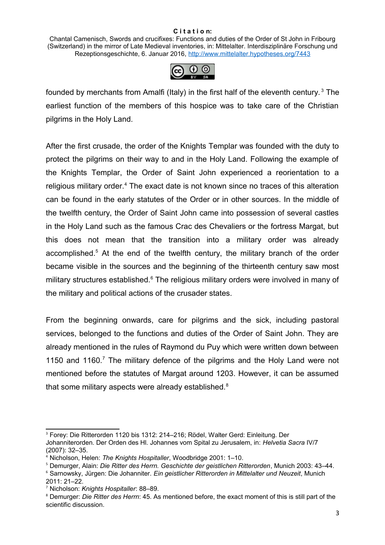Chantal Camenisch, Swords and crucifixes: Functions and duties of the Order of St John in Fribourg (Switzerland) in the mirror of Late Medieval inventories, in: Mittelalter. Interdisziplinäre Forschung und Rezeptionsgeschichte, 6. Januar 2016,<http://www.mittelalter.hypotheses.org/7443>



founded by merchants from Amalfi (Italy) in the first half of the eleventh century.<sup>[3](#page-2-0)</sup> The earliest function of the members of this hospice was to take care of the Christian pilgrims in the Holy Land.

After the first crusade, the order of the Knights Templar was founded with the duty to protect the pilgrims on their way to and in the Holy Land. Following the example of the Knights Templar, the Order of Saint John experienced a reorientation to a religious military order.<sup>[4](#page-2-1)</sup> The exact date is not known since no traces of this alteration can be found in the early statutes of the Order or in other sources. In the middle of the twelfth century, the Order of Saint John came into possession of several castles in the Holy Land such as the famous Crac des Chevaliers or the fortress Margat, but this does not mean that the transition into a military order was already accomplished.<sup>[5](#page-2-2)</sup> At the end of the twelfth century, the military branch of the order became visible in the sources and the beginning of the thirteenth century saw most military structures established.<sup>[6](#page-2-3)</sup> The religious military orders were involved in many of the military and political actions of the crusader states.

From the beginning onwards, care for pilgrims and the sick, including pastoral services, belonged to the functions and duties of the Order of Saint John. They are already mentioned in the rules of Raymond du Puy which were written down between 1150 and 1160.<sup>[7](#page-2-4)</sup> The military defence of the pilgrims and the Holy Land were not mentioned before the statutes of Margat around 1203. However, it can be assumed that some military aspects were already established.<sup>[8](#page-2-5)</sup>

<span id="page-2-0"></span><sup>3</sup> Forey: Die Ritterorden 1120 bis 1312: 214–216; Rödel, Walter Gerd: Einleitung. Der Johanniterorden. Der Orden des Hl. Johannes vom Spital zu Jerusalem, in: *Helvetia Sacra* IV/7 (2007): 32–35.

<span id="page-2-1"></span><sup>4</sup> Nicholson, Helen: *The Knights Hospitaller*, Woodbridge 2001: 1–10.

<span id="page-2-2"></span><sup>5</sup> Demurger, Alain: *Die Ritter des Herrn. Geschichte der geistlichen Ritterorden*, Munich 2003: 43–44.

<span id="page-2-3"></span><sup>6</sup> Sarnowsky, Jürgen: Die Johanniter. *Ein geistlicher Ritterorden in Mittelalter und Neuzeit*, Munich 2011: 21–22.

<span id="page-2-4"></span><sup>7</sup> Nicholson: *Knights Hospitaller*: 88–89.

<span id="page-2-5"></span><sup>8</sup> Demurger: *Die Ritter des Herrn*: 45. As mentioned before, the exact moment of this is still part of the scientific discussion.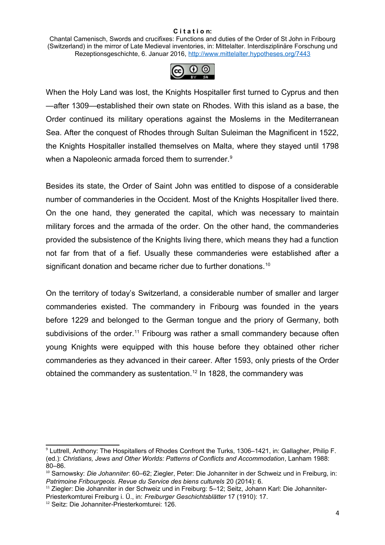Chantal Camenisch, Swords and crucifixes: Functions and duties of the Order of St John in Fribourg (Switzerland) in the mirror of Late Medieval inventories, in: Mittelalter. Interdisziplinäre Forschung und Rezeptionsgeschichte, 6. Januar 2016,<http://www.mittelalter.hypotheses.org/7443>



When the Holy Land was lost, the Knights Hospitaller first turned to Cyprus and then —after 1309—established their own state on Rhodes. With this island as a base, the Order continued its military operations against the Moslems in the Mediterranean Sea. After the conquest of Rhodes through Sultan Suleiman the Magnificent in 1522, the Knights Hospitaller installed themselves on Malta, where they stayed until 1798 when a Napoleonic armada forced them to surrender.<sup>[9](#page-3-0)</sup>

Besides its state, the Order of Saint John was entitled to dispose of a considerable number of commanderies in the Occident. Most of the Knights Hospitaller lived there. On the one hand, they generated the capital, which was necessary to maintain military forces and the armada of the order. On the other hand, the commanderies provided the subsistence of the Knights living there, which means they had a function not far from that of a fief. Usually these commanderies were established after a significant donation and became richer due to further donations.<sup>[10](#page-3-1)</sup>

On the territory of today's Switzerland, a considerable number of smaller and larger commanderies existed. The commandery in Fribourg was founded in the years before 1229 and belonged to the German tongue and the priory of Germany, both subdivisions of the order.<sup>[11](#page-3-2)</sup> Fribourg was rather a small commandery because often young Knights were equipped with this house before they obtained other richer commanderies as they advanced in their career. After 1593, only priests of the Order obtained the commandery as sustentation.<sup>[12](#page-3-3)</sup> In 1828, the commandery was

<span id="page-3-0"></span><sup>9</sup> Luttrell, Anthony: The Hospitallers of Rhodes Confront the Turks, 1306–1421, in: Gallagher, Philip F. (ed.): *Christians, Jews and Other Worlds: Patterns of Conflicts and Accommodation*, Lanham 1988: 80–86.

<span id="page-3-1"></span><sup>10</sup> Sarnowsky: *Die Johanniter*: 60–62; Ziegler, Peter: Die Johanniter in der Schweiz und in Freiburg, in: *Patrimoine Fribourgeois. Revue du Service des biens culturels* 20 (2014): 6.

<span id="page-3-2"></span><sup>11</sup> Ziegler: Die Johanniter in der Schweiz und in Freiburg: 5–12; Seitz, Johann Karl: Die Johanniter-Priesterkomturei Freiburg i. Ü., in: *Freiburger Geschichtsblätter* 17 (1910): 17.

<span id="page-3-3"></span><sup>12</sup> Seitz: Die Johanniter-Priesterkomturei: 126.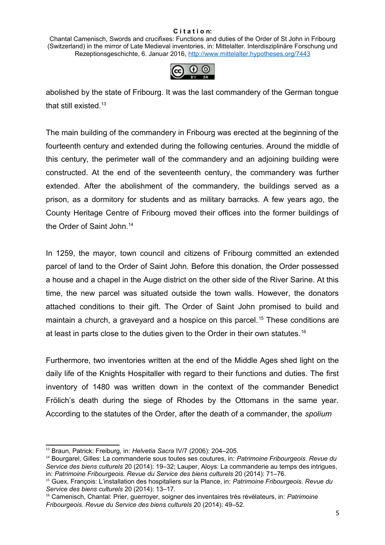Chantal Camenisch, Swords and crucifixes: Functions and duties of the Order of St John in Fribourg (Switzerland) in the mirror of Late Medieval inventories, in: Mittelalter. Interdisziplinäre Forschung und Rezeptionsgeschichte, 6. Januar 2016,<http://www.mittelalter.hypotheses.org/7443>



abolished by the state of Fribourg. It was the last commandery of the German tongue that still existed.[13](#page-4-0)

The main building of the commandery in Fribourg was erected at the beginning of the fourteenth century and extended during the following centuries. Around the middle of this century, the perimeter wall of the commandery and an adjoining building were constructed. At the end of the seventeenth century, the commandery was further extended. After the abolishment of the commandery, the buildings served as a prison, as a dormitory for students and as military barracks. A few years ago, the County Heritage Centre of Fribourg moved their offices into the former buildings of the Order of Saint John.<sup>[14](#page-4-1)</sup>

In 1259, the mayor, town council and citizens of Fribourg committed an extended parcel of land to the Order of Saint John. Before this donation, the Order possessed a house and a chapel in the Auge district on the other side of the River Sarine. At this time, the new parcel was situated outside the town walls. However, the donators attached conditions to their gift. The Order of Saint John promised to build and maintain a church, a graveyard and a hospice on this parcel.<sup>[15](#page-4-2)</sup> These conditions are at least in parts close to the duties given to the Order in their own statutes.[16](#page-4-3)

Furthermore, two inventories written at the end of the Middle Ages shed light on the daily life of the Knights Hospitaller with regard to their functions and duties. The first inventory of 1480 was written down in the context of the commander Benedict Frölich's death during the siege of Rhodes by the Ottomans in the same year. According to the statutes of the Order, after the death of a commander, the *spolium* 

<span id="page-4-0"></span><sup>13</sup> Braun, Patrick: Freiburg, in: *Helvetia Sacra* IV/7 (2006): 204–205.

<span id="page-4-1"></span><sup>14</sup> Bourgarel, Gilles: La commanderie sous toutes ses coutures, in: *Patrimoine Fribourgeois. Revue du Service des biens culturels* 20 (2014): 19–32; Lauper, Aloys: La commanderie au temps des intrigues, in: *Patrimoine Fribourgeois. Revue du Service des biens culturels* 20 (2014): 71–76.

<span id="page-4-2"></span><sup>15</sup> Guex, François: L'installation des hospitaliers sur la Plance, in: *Patrimoine Fribourgeois. Revue du Service des biens culturels* 20 (2014): 13–17.

<span id="page-4-3"></span><sup>16</sup> Camenisch, Chantal: Prier, guerroyer, soigner des inventaires très révélateurs, in: *Patrimoine Fribourgeois. Revue du Service des biens culturels* 20 (2014): 49–52.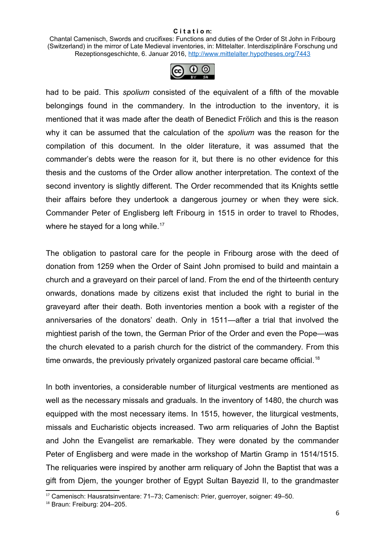Chantal Camenisch, Swords and crucifixes: Functions and duties of the Order of St John in Fribourg (Switzerland) in the mirror of Late Medieval inventories, in: Mittelalter. Interdisziplinäre Forschung und Rezeptionsgeschichte, 6. Januar 2016,<http://www.mittelalter.hypotheses.org/7443>



had to be paid. This *spolium* consisted of the equivalent of a fifth of the movable belongings found in the commandery. In the introduction to the inventory, it is mentioned that it was made after the death of Benedict Frölich and this is the reason why it can be assumed that the calculation of the *spolium* was the reason for the compilation of this document. In the older literature, it was assumed that the commander's debts were the reason for it, but there is no other evidence for this thesis and the customs of the Order allow another interpretation. The context of the second inventory is slightly different. The Order recommended that its Knights settle their affairs before they undertook a dangerous journey or when they were sick. Commander Peter of Englisberg left Fribourg in 1515 in order to travel to Rhodes, where he stayed for a long while.<sup>[17](#page-5-0)</sup>

The obligation to pastoral care for the people in Fribourg arose with the deed of donation from 1259 when the Order of Saint John promised to build and maintain a church and a graveyard on their parcel of land. From the end of the thirteenth century onwards, donations made by citizens exist that included the right to burial in the graveyard after their death. Both inventories mention a book with a register of the anniversaries of the donators' death. Only in 1511—after a trial that involved the mightiest parish of the town, the German Prior of the Order and even the Pope—was the church elevated to a parish church for the district of the commandery. From this time onwards, the previously privately organized pastoral care became official.<sup>[18](#page-5-1)</sup>

In both inventories, a considerable number of liturgical vestments are mentioned as well as the necessary missals and graduals. In the inventory of 1480, the church was equipped with the most necessary items. In 1515, however, the liturgical vestments, missals and Eucharistic objects increased. Two arm reliquaries of John the Baptist and John the Evangelist are remarkable. They were donated by the commander Peter of Englisberg and were made in the workshop of Martin Gramp in 1514/1515. The reliquaries were inspired by another arm reliquary of John the Baptist that was a gift from Djem, the younger brother of Egypt Sultan Bayezid II, to the grandmaster

<span id="page-5-0"></span><sup>&</sup>lt;sup>17</sup> Camenisch: Hausratsinventare: 71–73; Camenisch: Prier, guerroyer, soigner: 49–50.

<span id="page-5-1"></span><sup>&</sup>lt;sup>18</sup> Braun: Freiburg: 204-205.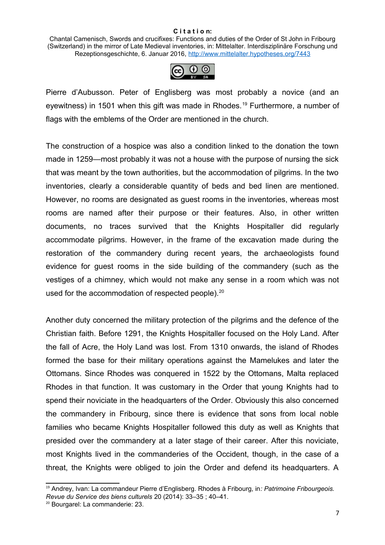Chantal Camenisch, Swords and crucifixes: Functions and duties of the Order of St John in Fribourg (Switzerland) in the mirror of Late Medieval inventories, in: Mittelalter. Interdisziplinäre Forschung und Rezeptionsgeschichte, 6. Januar 2016,<http://www.mittelalter.hypotheses.org/7443>



Pierre d'Aubusson. Peter of Englisberg was most probably a novice (and an eyewitness) in 1501 when this gift was made in Rhodes.<sup>[19](#page-6-0)</sup> Furthermore, a number of flags with the emblems of the Order are mentioned in the church.

The construction of a hospice was also a condition linked to the donation the town made in 1259—most probably it was not a house with the purpose of nursing the sick that was meant by the town authorities, but the accommodation of pilgrims. In the two inventories, clearly a considerable quantity of beds and bed linen are mentioned. However, no rooms are designated as guest rooms in the inventories, whereas most rooms are named after their purpose or their features. Also, in other written documents, no traces survived that the Knights Hospitaller did regularly accommodate pilgrims. However, in the frame of the excavation made during the restoration of the commandery during recent years, the archaeologists found evidence for guest rooms in the side building of the commandery (such as the vestiges of a chimney, which would not make any sense in a room which was not used for the accommodation of respected people).<sup>[20](#page-6-1)</sup>

Another duty concerned the military protection of the pilgrims and the defence of the Christian faith. Before 1291, the Knights Hospitaller focused on the Holy Land. After the fall of Acre, the Holy Land was lost. From 1310 onwards, the island of Rhodes formed the base for their military operations against the Mamelukes and later the Ottomans. Since Rhodes was conquered in 1522 by the Ottomans, Malta replaced Rhodes in that function. It was customary in the Order that young Knights had to spend their noviciate in the headquarters of the Order. Obviously this also concerned the commandery in Fribourg, since there is evidence that sons from local noble families who became Knights Hospitaller followed this duty as well as Knights that presided over the commandery at a later stage of their career. After this noviciate, most Knights lived in the commanderies of the Occident, though, in the case of a threat, the Knights were obliged to join the Order and defend its headquarters. A

<span id="page-6-0"></span><sup>19</sup> Andrey, Ivan: La commandeur Pierre d'Englisberg. Rhodes à Fribourg, in*: Patrimoine Fribourgeois. Revue du Service des biens culturels* 20 (2014): 33–35 ; 40–41.

<span id="page-6-1"></span><sup>20</sup> Bourgarel: La commanderie: 23.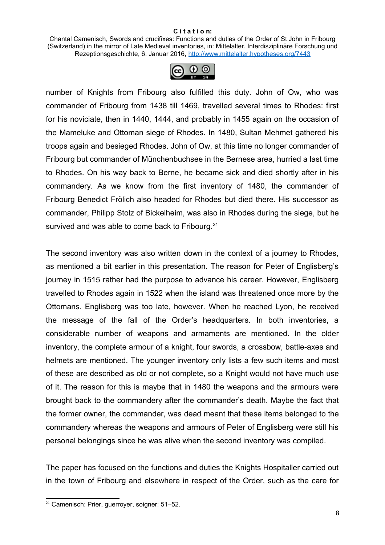Chantal Camenisch, Swords and crucifixes: Functions and duties of the Order of St John in Fribourg (Switzerland) in the mirror of Late Medieval inventories, in: Mittelalter. Interdisziplinäre Forschung und Rezeptionsgeschichte, 6. Januar 2016,<http://www.mittelalter.hypotheses.org/7443>



number of Knights from Fribourg also fulfilled this duty. John of Ow, who was commander of Fribourg from 1438 till 1469, travelled several times to Rhodes: first for his noviciate, then in 1440, 1444, and probably in 1455 again on the occasion of the Mameluke and Ottoman siege of Rhodes. In 1480, Sultan Mehmet gathered his troops again and besieged Rhodes. John of Ow, at this time no longer commander of Fribourg but commander of Münchenbuchsee in the Bernese area, hurried a last time to Rhodes. On his way back to Berne, he became sick and died shortly after in his commandery. As we know from the first inventory of 1480, the commander of Fribourg Benedict Frölich also headed for Rhodes but died there. His successor as commander, Philipp Stolz of Bickelheim, was also in Rhodes during the siege, but he survived and was able to come back to Fribourg.<sup>[21](#page-7-0)</sup>

The second inventory was also written down in the context of a journey to Rhodes, as mentioned a bit earlier in this presentation. The reason for Peter of Englisberg's journey in 1515 rather had the purpose to advance his career. However, Englisberg travelled to Rhodes again in 1522 when the island was threatened once more by the Ottomans. Englisberg was too late, however. When he reached Lyon, he received the message of the fall of the Order's headquarters. In both inventories, a considerable number of weapons and armaments are mentioned. In the older inventory, the complete armour of a knight, four swords, a crossbow, battle-axes and helmets are mentioned. The younger inventory only lists a few such items and most of these are described as old or not complete, so a Knight would not have much use of it. The reason for this is maybe that in 1480 the weapons and the armours were brought back to the commandery after the commander's death. Maybe the fact that the former owner, the commander, was dead meant that these items belonged to the commandery whereas the weapons and armours of Peter of Englisberg were still his personal belongings since he was alive when the second inventory was compiled.

The paper has focused on the functions and duties the Knights Hospitaller carried out in the town of Fribourg and elsewhere in respect of the Order, such as the care for

<span id="page-7-0"></span><sup>&</sup>lt;sup>21</sup> Camenisch: Prier, querroyer, soigner: 51–52.